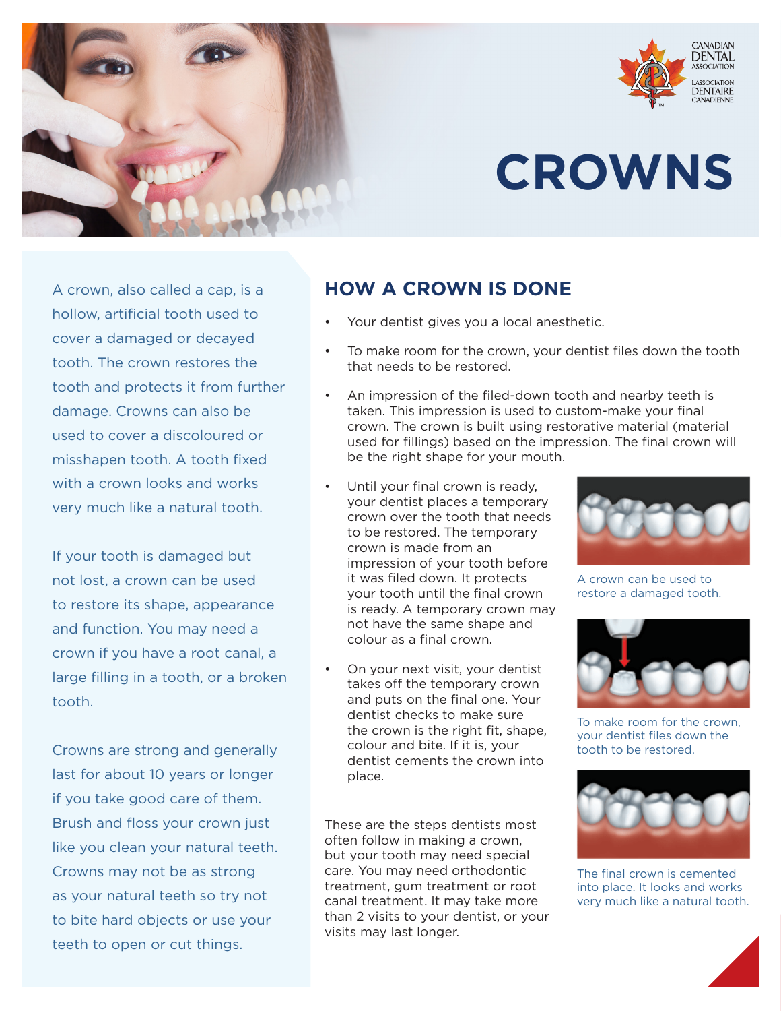



## **CROWNS**

A crown, also called a cap, is a hollow, artificial tooth used to cover a damaged or decayed tooth. The crown restores the tooth and protects it from further damage. Crowns can also be used to cover a discoloured or misshapen tooth. A tooth fixed with a crown looks and works very much like a natural tooth.

If your tooth is damaged but not lost, a crown can be used to restore its shape, appearance and function. You may need a crown if you have a root canal, a large filling in a tooth, or a broken tooth.

Crowns are strong and generally last for about 10 years or longer if you take good care of them. Brush and floss your crown just like you clean your natural teeth. Crowns may not be as strong as your natural teeth so try not to bite hard objects or use your teeth to open or cut things.

## **HOW A CROWN IS DONE**

- Your dentist gives you a local anesthetic.
- To make room for the crown, your dentist files down the tooth that needs to be restored.
- An impression of the filed-down tooth and nearby teeth is taken. This impression is used to custom-make your final crown. The crown is built using restorative material (material used for fillings) based on the impression. The final crown will be the right shape for your mouth.
- Until your final crown is ready, your dentist places a temporary crown over the tooth that needs to be restored. The temporary crown is made from an impression of your tooth before it was filed down. It protects your tooth until the final crown is ready. A temporary crown may not have the same shape and colour as a final crown.
- On your next visit, your dentist takes off the temporary crown and puts on the final one. Your dentist checks to make sure the crown is the right fit, shape, colour and bite. If it is, your dentist cements the crown into place.

These are the steps dentists most often follow in making a crown, but your tooth may need special care. You may need orthodontic treatment, gum treatment or root canal treatment. It may take more than 2 visits to your dentist, or your visits may last longer.



A crown can be used to restore a damaged tooth.



To make room for the crown, your dentist files down the tooth to be restored.



The final crown is cemented into place. It looks and works very much like a natural tooth.